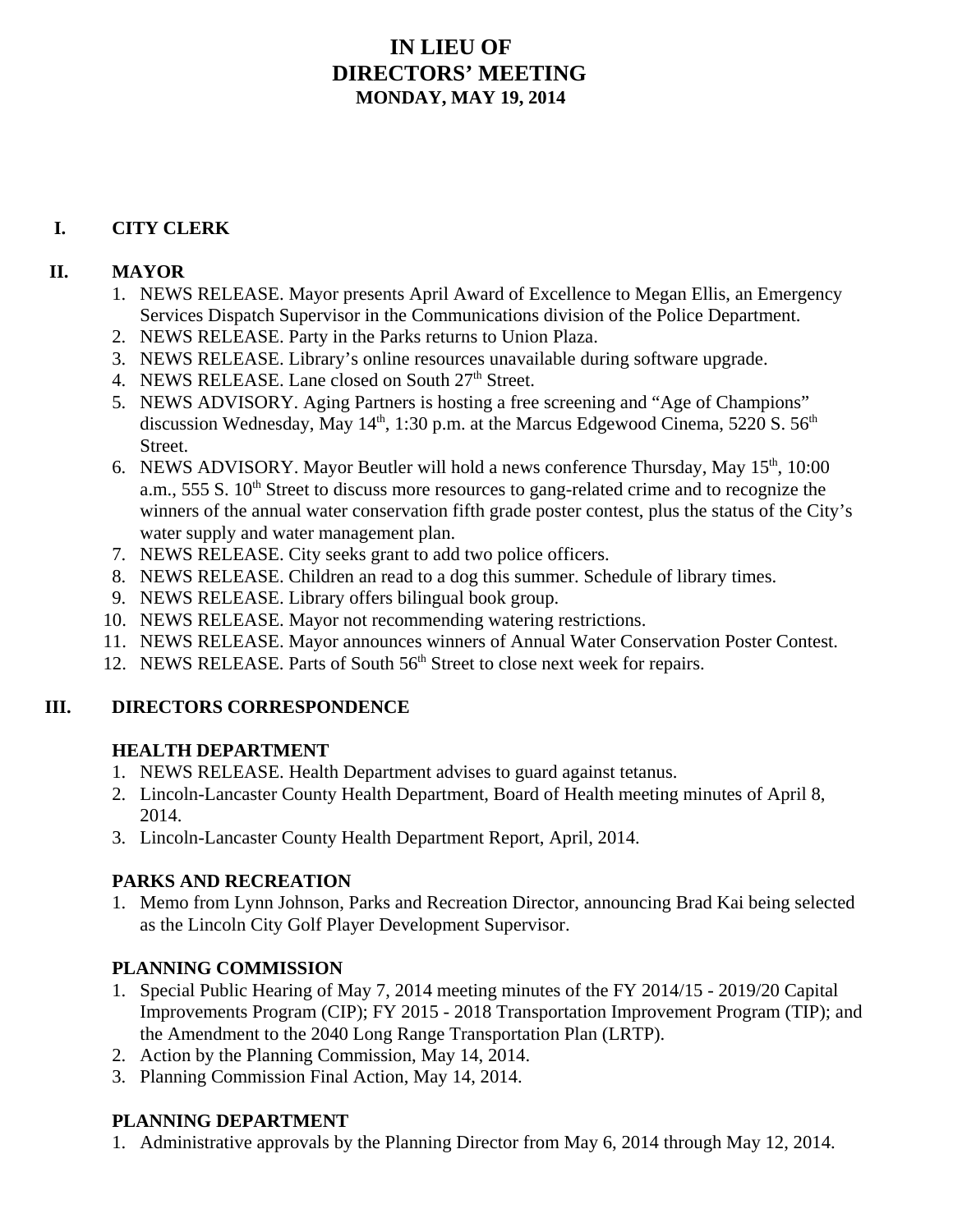# **IN LIEU OF DIRECTORS' MEETING MONDAY, MAY 19, 2014**

# **I. CITY CLERK**

#### **II. MAYOR**

- 1. NEWS RELEASE. Mayor presents April Award of Excellence to Megan Ellis, an Emergency Services Dispatch Supervisor in the Communications division of the Police Department.
- 2. NEWS RELEASE. Party in the Parks returns to Union Plaza.
- 3. NEWS RELEASE. Library's online resources unavailable during software upgrade.
- 4. NEWS RELEASE. Lane closed on South  $27<sup>th</sup>$  Street.
- 5. NEWS ADVISORY. Aging Partners is hosting a free screening and "Age of Champions" discussion Wednesday, May  $14<sup>th</sup>$ , 1:30 p.m. at the Marcus Edgewood Cinema, 5220 S.  $56<sup>th</sup>$ Street.
- 6. NEWS ADVISORY. Mayor Beutler will hold a news conference Thursday, May  $15<sup>th</sup>$ , 10:00 a.m., 555 S. 10<sup>th</sup> Street to discuss more resources to gang-related crime and to recognize the winners of the annual water conservation fifth grade poster contest, plus the status of the City's water supply and water management plan.
- 7. NEWS RELEASE. City seeks grant to add two police officers.
- 8. NEWS RELEASE. Children an read to a dog this summer. Schedule of library times.
- 9. NEWS RELEASE. Library offers bilingual book group.
- 10. NEWS RELEASE. Mayor not recommending watering restrictions.
- 11. NEWS RELEASE. Mayor announces winners of Annual Water Conservation Poster Contest.
- 12. NEWS RELEASE. Parts of South 56<sup>th</sup> Street to close next week for repairs.

# **III. DIRECTORS CORRESPONDENCE**

#### **HEALTH DEPARTMENT**

- 1. NEWS RELEASE. Health Department advises to guard against tetanus.
- 2. Lincoln-Lancaster County Health Department, Board of Health meeting minutes of April 8, 2014.
- 3. Lincoln-Lancaster County Health Department Report, April, 2014.

# **PARKS AND RECREATION**

1. Memo from Lynn Johnson, Parks and Recreation Director, announcing Brad Kai being selected as the Lincoln City Golf Player Development Supervisor.

# **PLANNING COMMISSION**

- 1. Special Public Hearing of May 7, 2014 meeting minutes of the FY 2014/15 2019/20 Capital Improvements Program (CIP); FY 2015 - 2018 Transportation Improvement Program (TIP); and the Amendment to the 2040 Long Range Transportation Plan (LRTP).
- 2. Action by the Planning Commission, May 14, 2014.
- 3. Planning Commission Final Action, May 14, 2014.

# **PLANNING DEPARTMENT**

1. Administrative approvals by the Planning Director from May 6, 2014 through May 12, 2014.